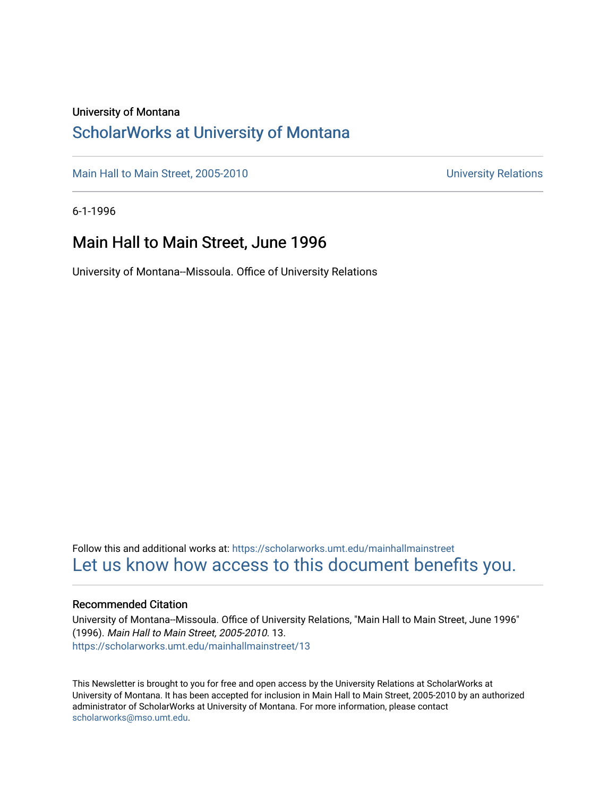#### University of Montana

#### [ScholarWorks at University of Montana](https://scholarworks.umt.edu/)

[Main Hall to Main Street, 2005-2010](https://scholarworks.umt.edu/mainhallmainstreet) Main Hall to Main Street, 2005-2010

6-1-1996

#### Main Hall to Main Street, June 1996

University of Montana--Missoula. Office of University Relations

Follow this and additional works at: [https://scholarworks.umt.edu/mainhallmainstreet](https://scholarworks.umt.edu/mainhallmainstreet?utm_source=scholarworks.umt.edu%2Fmainhallmainstreet%2F13&utm_medium=PDF&utm_campaign=PDFCoverPages) [Let us know how access to this document benefits you.](https://goo.gl/forms/s2rGfXOLzz71qgsB2) 

#### Recommended Citation

University of Montana--Missoula. Office of University Relations, "Main Hall to Main Street, June 1996" (1996). Main Hall to Main Street, 2005-2010. 13. [https://scholarworks.umt.edu/mainhallmainstreet/13](https://scholarworks.umt.edu/mainhallmainstreet/13?utm_source=scholarworks.umt.edu%2Fmainhallmainstreet%2F13&utm_medium=PDF&utm_campaign=PDFCoverPages) 

This Newsletter is brought to you for free and open access by the University Relations at ScholarWorks at University of Montana. It has been accepted for inclusion in Main Hall to Main Street, 2005-2010 by an authorized administrator of ScholarWorks at University of Montana. For more information, please contact [scholarworks@mso.umt.edu.](mailto:scholarworks@mso.umt.edu)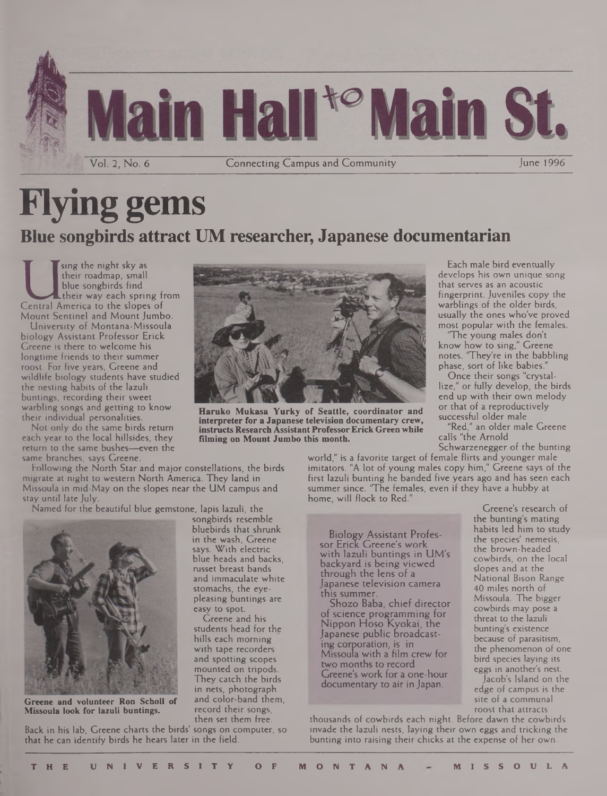

# **Flying gems Blue songbirds attract UM researcher, Japanese documentarian**

**I**<br> **Central America** to the slopes of<br> **Central America** to the slopes of **sing the night sky as their roadmap, small blue songbirds find their way each spring from Mount Sentinel and Mount Jumbo.**

**University of Montana-Missoula biology Assistant Professor Erick Greene is there to welcome his longtime friends to their summer roost. For five years, Greene and wildlife biology students have studied the nesting habits of the lazuli buntings, recording their sweet warbling songs and getting to know their individual personalities.**

**Not only do the same birds return each year to the local hillsides, they return to the same bushes—even the same branches, says Greene.**

**Following the North Star and major constellations, the birds migrate at night to western North America. They land in Missoula in mid-May on the slopes near the UM campus and stay until late July.**

**Named for the beautiful blue gemstone, lapis lazuli, the songbirds resemble**



**Greene and volunteer Ron Scholl of Missoula look for lazuli buntings.**

**Back in his lab, Greene charts the birds' songs on computer, so that he can identify birds he hears later in the field.**



**Haruko Mukasa Yurky of Seattle, coordinator and interpreter for a Japanese television documentary crew, instructs Research Assistant ProfessorErick Green while filming on Mount Jumbo this month.**

**Each male bird eventually develops his own unique song that serves as an acoustic fingerprint. Juveniles copy the warblings of the older birds, usually the ones who've proved most popular with the females.**

**"The young males don't know how to sing," Greene notes. "They're in the babbling phase, sort of like babies."**

**Once their songs "crystallize," or fully develop, the birds end up with their own melody or that of a reproductively successful older male.**

**"Red," an older male Greene calls "the Arnold**

**Schwarzenegger of the bunting world," is a favorite target of female flirts and younger male**

**imitators. "A lot of young males copy him," Greene says of the first lazuli bunting he banded five years ago and has seen each summer since. 'The females, even if they have a hubby at home, will flock to Red."**

Biology Assistant Professor Erick Greene's work with lazuli buntings in UM's backyard is being viewed through the lens of a Japanese television camera this summer.

Shozo Baba, chief director of science programming for Nippon Hoso Kyokai, the Japanese public broadcasting corporation, is in Missoula with a film crew for two months to record Greene's work for a one-hour documentary to air in Japan.

**Greene's research of the bunting's mating habits led him to study the species' nemesis, the brown-headed cowbirds, on the local slopes and at the National Bison Range 40 miles north of Missoula. The bigger cowbirds may pose a threat to the lazuli bunting's existence because of parasitism, the phenomenon of one bird species laying its eggs in another's nest.**

**Jacob's Island on the edge of campus is the site of a communal roost that attracts**

**thousands of cowbirds each night. Before dawn the cowbirds invade the lazuli nests, laying their own eggs and tricking the bunting into raising their chicks at the expense of her own.**

**bluebirds that shrunk in the wash, Greene says. With electric blue heads and backs, russet breast bands and immaculate white stomachs, the eyepleasing buntings are**

**easy to spot. Greene and his students head for the hills each morning with tape recorders and spotting scopes mounted on tripods. They catch the birds in nets, photograph and color-band them, record their songs, then set them free.**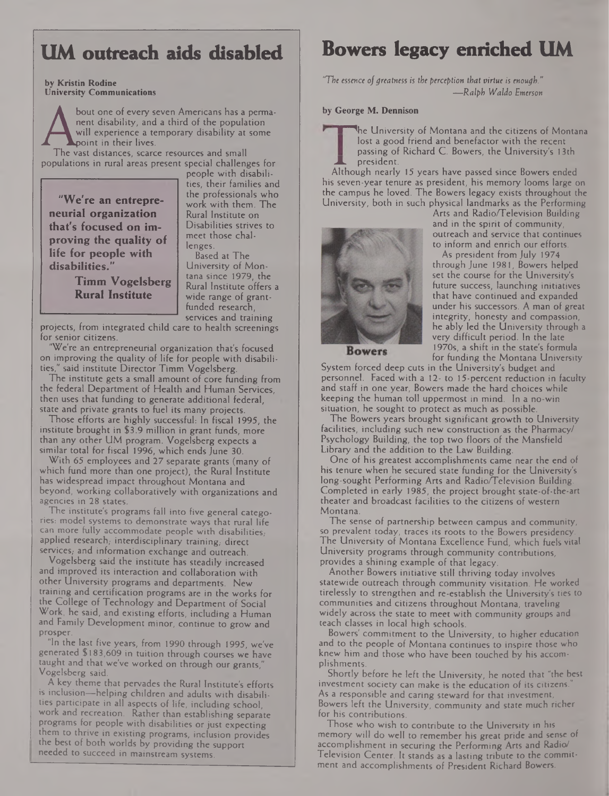### **UM outreach aids disabled**

**by Kristin Rodine University Communications**

> bout one of every seven Americans has a permanent disability, and a third of the population will experience a temporary disability at some point in their lives.

The vast distances, scarce resources and small populations in rural areas present special challenges for

**"We're an entrepreneurial organization that's focused on improving the quality of life for people with disabilities."**

people with disabilities, their families and the professionals who work with them. The Rural Institute on Disabilities strives to meet those challenges.

**Timm Vogelsberg Rural Institute** University of Mon-

tana since 1979, the Rural Institute offers a wide range of grantfunded research, services and training

Based at The

projects, from integrated child care to health screenings for senior citizens.

"We're an entrepreneurial organization that's focused on improving the quality of life for people with disabilities," said institute Director Timm Vogelsberg.

The institute gets a small amount of core funding from the federal Department of Health and Human Services, then uses that funding to generate additional federal, state and private grants to fuel its many projects.

Those efforts are highly successful: In fiscal 1995, the institute brought in \$3.9 million in grant funds, more than any other UM program. Vogelsberg expects a similar total for fiscal 1996, which ends June 30.

With 65 employees and 27 separate grants (many of which fund more than one project), the Rural Institute has widespread impact throughout Montana and beyond, working collaboratively with organizations and agencies in 28 states.

The institute's programs fall into five general categories: model systems to demonstrate ways that rural life can more fully accommodate people with disabilities, applied research; interdisciplinary training; direct services, and information exchange and outreach.

Vogelsberg said the institute has steadily increased and improved its interaction and collaboration with other University programs and departments. New training and certification programs are in the works for the College of Technology and Department of Social Work, he said, and existing efforts, including a Human and Family Development minor, continue to grow and prosper.

"In the last five years, from 1990 through 1995, we've generated \$183,609 in tuition through courses we have taught and that we've worked on through our grants,' Vogelsberg said.

A key theme that pervades the Rural Institute's efforts is inclusion—helping children and adults with disabilities participate in all aspects of life, including school, work and recreation. Rather than establishing separate programs for people with disabilities or just expecting them to thrive in existing programs, inclusion provides the best of both worlds by providing the support needed to succeed in mainstream systems.

### **Bowers legacy enriched UM**

"The *essence ofgreatness is the perception that virtue is enough." —Ralph Waldo Emerson*

#### **by George M. Dennison**

**The University of Montana and the citizens of Montana** lost a good friend and benefactor with the recent passing of Richard C. Bowers, the University's 13th president.

Although nearly 15 years have passed since Bowers ended his seven-year tenure as president, his memory looms large on the campus he loved. The Bowers legacy exists throughout the University, both in such physical landmarks as the Performing



Arts and Radio/Television Building and in the spirit of community, outreach and service that continues to inform and enrich our efforts.

As president from July 1974 through June 1981, Bowers helped set the course for the University's future success, launching initiatives that have continued and expanded under his successors. A man of great integrity, honesty and compassion, he ably led the University through a very difficult period. In the late 1970s, a shift in the state's formula for funding the Montana University

**Bowers** 

System forced deep cuts in the University's budget and personnel. Faced with a 12- to 15-percent reduction in faculty and staff in one year, Bowers made the hard choices while keeping the human toll uppermost in mind. In a no-win situation, he sought to protect as much as possible.

The Bowers years brought significant growth to University facilities, including such new construction as the Pharmacy/ Psychology Building, the top two floors of the Mansfield Library and the addition to the Law Building.

One of his greatest accomplishments came near the end of his tenure when he secured state funding for the University's long-sought Performing Arts and Radio/Television Building. Completed in early 1985, the project brought state-of-the-art theater and broadcast facilities to the citizens of western Montana.

The sense of partnership between campus and community, so prevalent today, traces its roots to the Bowers presidency. The University of Montana Excellence Fund, which fuels vital University programs through community contributions, provides a shining example of that legacy.

Another Bowers initiative still thriving today involves statewide outreach through community visitation. He worked tirelessly to strengthen and re-establish the University's ties to communities and citizens throughout Montana, traveling widely across the state to meet with community groups and teach classes in local high schools.

Bowers' commitment to the University, to higher education and to the people of Montana continues to inspire those who knew him and those who have been touched by his accomplishments.

Shortly before he left the University, he noted that "the best investment society can make is the education of its citizens. As a responsible and caring steward for that investment. Bowers left the University, community and state much richer for his contributions.

Those who wish to contribute to the University in his memory will do well to remember his great pride and sense of accomplishment in securing the Performing Arts and Radio/ Television Center. It stands as a lasting tribute to the commitment and accomplishments of President Richard Bowers.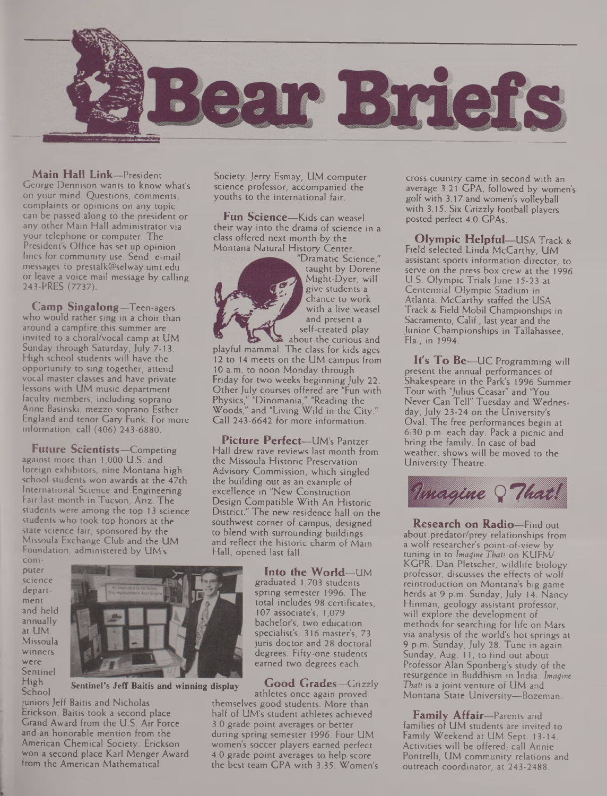

**Main Hall Link—**President George Dennison wants to know what's on your mind. Questions, comments, complaints or opinions on any topic can be passed along to the president or any other Main Hall administrator via your telephone or computer. The President's Office has set up opinion lines for community use. Send e-mail messages to [prestalk@selway.umt.edu](mailto:prestalk@selway.umt.edu) or leave a voice mail message by calling 243-PRES (7737).

**Camp Singalong—**Teen-agers who would rather sing in a choir than around a campfire this summer are invited to a choral/vocal camp at UM Sunday through Saturday, July 7-13. High school students will have the opportunity to sing together, attend vocal master classes and have private lessons with UM music department faculty members, including soprano Anne Basinski, mezzo soprano Esther England and tenor Gary Funk. For more information, call (406) 243-6880.

**Future Scientists—**Competing against more than 1,000 U.S. and foreign exhibitors, nine Montana high school students won awards at the 47th International Science and Engineering Fair last month in Tucson, Ariz. The students were among the top 13 science students who took top honors at the state science fair, sponsored by the Missoula Exchange Club and the UM Foundation, administered by UM's

computer science department and held annually at UM. Missoula winners were Sentinel High School



**Sentinel's Jeff Baitis and winning display**

juniors Jeff Baitis and Nicholas Erickson. Baitis took a second place Grand Award from the U.S. Air Force and an honorable mention from the American Chemical Society. Erickson won a second place Karl Menger Award from the American Mathematical

Society. Jerry Esmay, UM computer science professor, accompanied the youths to the international fair.

**Fun Science—**Kids can weasel their way into the drama of science in a class offered next month by the Montana Natural History Center.



"Dramatic Science," taught by Dorene Might-Dyer, will give students a chance to work with a live weasel and present a self-created play

about the curious and playful mammal. The class for kids ages 12 to 14 meets on the UM campus from 10 a.m. to noon Monday through Friday for two weeks beginning July 22. Other July courses offered are "Fun with Physics," "Dinomania," "Reading the Woods," and "Living Wild in the City." Call 243-6642 for more information.

**Picture Perfect—**UM's Pantzer Hall drew rave reviews last month from the Missoula Historic Preservation Advisory Commission, which singled the building out as an example of excellence in "New Construction Design Compatible With An Historic District." The new residence hall on the southwest comer of campus, designed to blend with surrounding buildings and reflect the historic charm of Main Hall, opened last fall.

> **Into the World—**UM graduated 1,703 students spring semester 1996. The total includes 98 certificates, 107 associate's, 1,079 bachelor's, two education specialist's, 316 master's, 73 juris doctor and 28 doctoral degrees. Fifty-one students earned two degrees each.

**Good Grades—**Grizzly athletes once again proved themselves good students. More than half of UM's student athletes achieved 3.0 grade point averages or better during spring semester 1996. Four UM women's soccer players earned perfect 4.0 grade point averages to help score the best team GPA with 3.35. Women's

cross country came in second with an average 3.21 GPA, followed by women's golf with 3.17 and women's volleyball with 3.15. Six Grizzly football players posted perfect 4.0 GPAs.

**Olympic Helpful—**USA Track & Field selected Linda McCarthy, UM assistant sports information director, to serve on the press box crew at the 1996 U.S. Olympic Trials June 15-23 at Centennial Olympic Stadium in Atlanta. McCarthy staffed the USA Track & Field Mobil Championships in Sacramento, Calif., last year and the Junior Championships in Tallahassee, Fla., in 1994.

**It's To Be—**UC Programming will present the annual performances of Shakespeare in the Park's 1996 Summer Tour with "Julius Ceasar" and "You Never Can Tell" Tuesday and Wednesday, July 23-24 on the University's Oval. The free performances begin at 6:30 p.m. each day. Pack a picnic and bring the family. In case of bad weather, shows will be moved to the University Theatre.



**Research on Radio—**Find out about predator/prey relationships from a wolf researcher's point-of-view by tuning in to *Imagine That!* on KUFM/ KGPR. Dan Pletscher, wildlife biology professor, discusses the effects of wolf reintroduction on Montana's big game herds at 9 p.m. Sunday, July 14. Nancy Hinman, geology assistant professor, will explore the development of methods for searching for life on Mars via analysis of the world's hot springs at 9 p.m. Sunday, July 28. Tune in again Sunday, Aug. 11, to find out about Professor Alan Sponberg's study of the resurgence in Buddhism in India. *Imagine That!* is a joint venture of UM and Montana State University-Bozeman.

**Family Affair—**Parents and families of UM students are invited to Family Weekend at UM Sept. 13-14. Activities will be offered; call Annie Pontrelli, UM community relations and outreach coordinator, at 243-2488.